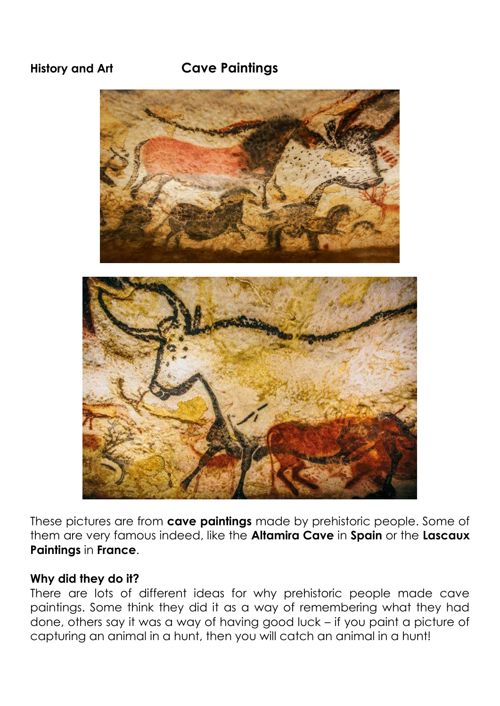# **History and Art Cave Paintings**



These pictures are from **cave paintings** made by prehistoric people. Some of them are very famous indeed, like the **Altamira Cave** in **Spain** or the **Lascaux Paintings** in **France**.

#### **Why did they do it?**

There are lots of different ideas for why prehistoric people made cave paintings. Some think they did it as a way of remembering what they had done, others say it was a way of having good luck – if you paint a picture of capturing an animal in a hunt, then you will catch an animal in a hunt!